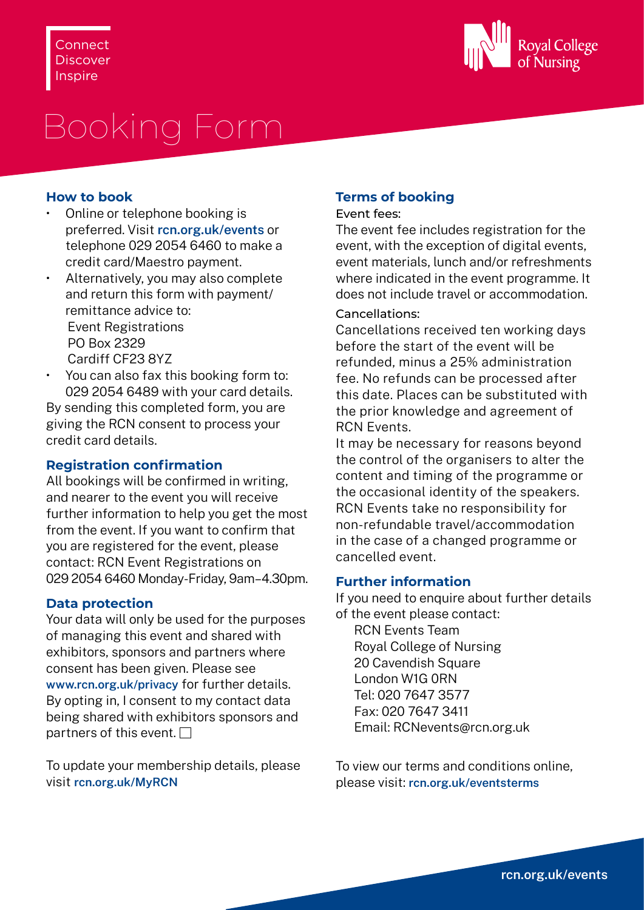

# Booking Form

### **How to book**

- Online or telephone booking is preferred. Visit **[rcn.org.uk/events](http://rcn.org.uk/events)** or telephone 029 2054 6460 to make a credit card/Maestro payment.
- Alternatively, you may also complete and return this form with payment/ remittance advice to: Event Registrations PO Box 2329 Cardiff CF23 8YZ
- You can also fax this booking form to: 029 2054 6489 with your card details.

By sending this completed form, you are giving the RCN consent to process your credit card details.

# **Registration confirmation**

All bookings will be confirmed in writing, and nearer to the event you will receive further information to help you get the most from the event. If you want to confirm that you are registered for the event, please contact: RCN Event Registrations on 029 2054 6460 Monday-Friday, 9am–4.30pm.

# **Data protection**

Your data will only be used for the purposes of managing this event and shared with exhibitors, sponsors and partners where consent has been given. Please see **[www.rcn.org.uk/privacy](http://www.rcn.org.uk/privacy)** for further details. By opting in, I consent to my contact data being shared with exhibitors sponsors and partners of this event.  $\Box$ 

To update your membership details, please visit **[rcn.org.uk/MyRCN](http://rcn.org.uk/MyRCN)**

# **Terms of booking**

#### Event fees:

The event fee includes registration for the event, with the exception of digital events, event materials, lunch and/or refreshments where indicated in the event programme. It does not include travel or accommodation.

## Cancellations:

Cancellations received ten working days before the start of the event will be refunded, minus a 25% administration fee. No refunds can be processed after this date. Places can be substituted with the prior knowledge and agreement of RCN Events.

It may be necessary for reasons beyond the control of the organisers to alter the content and timing of the programme or the occasional identity of the speakers. RCN Events take no responsibility for non-refundable travel/accommodation in the case of a changed programme or cancelled event.

# **Further information**

If you need to enquire about further details of the event please contact:

RCN Events Team Royal College of Nursing 20 Cavendish Square London W1G 0RN Tel: 020 7647 3577 Fax: 020 7647 3411 Email: [RCNevents@rcn.org.uk](mailto:RCNevents%40rcn.org.uk?subject=)

To view our terms and conditions online, please visit: **[rcn.org.uk/eventsterms](http://rcn.org.uk/eventsterms)**